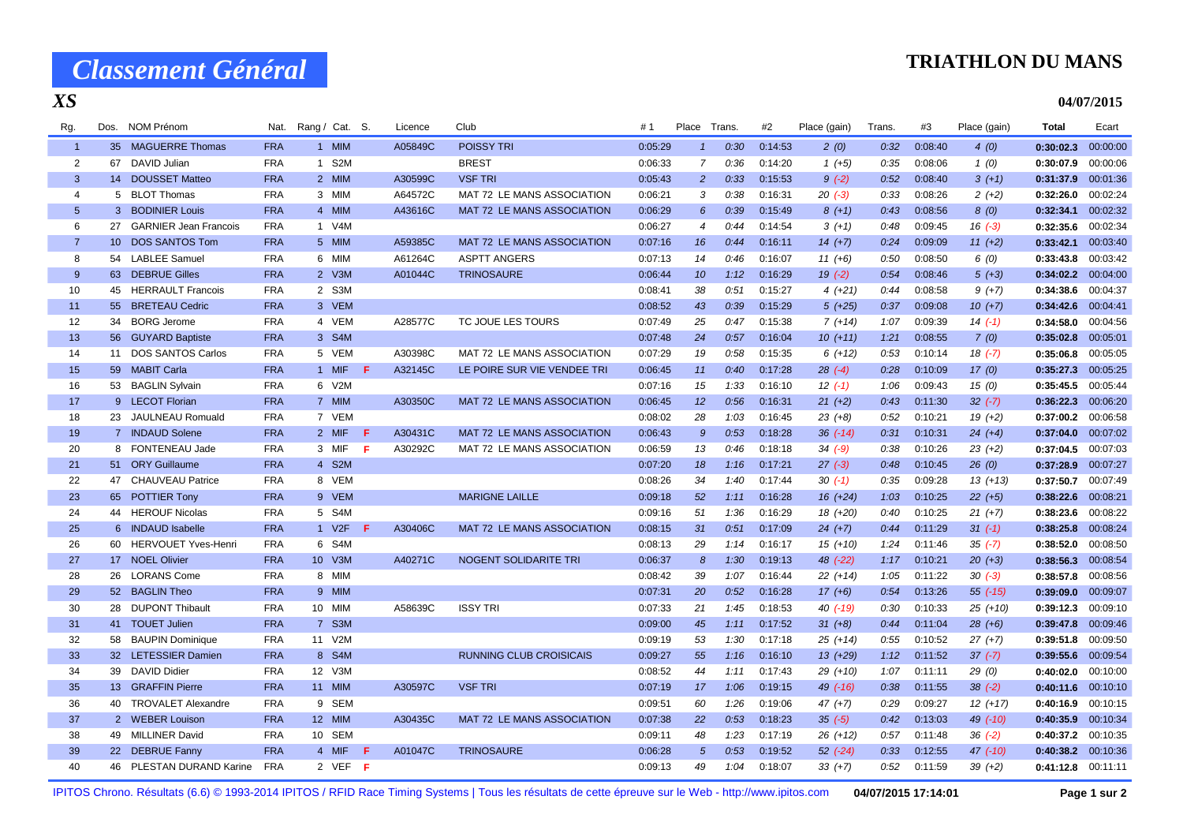# *Classement Général*

### **TRIATHLON DU MANS**

**04/07/2015**

#### *XS*

| Rg.             |    | Dos. NOM Prénom            |            | Nat. Rang / Cat. S. |         |    | Licence | Club                              | #1      | Place          | Trans. | #2      | Place (gain) | Trans. | #3      | Place (gain) | Total              | Ecart    |
|-----------------|----|----------------------------|------------|---------------------|---------|----|---------|-----------------------------------|---------|----------------|--------|---------|--------------|--------|---------|--------------|--------------------|----------|
| $\overline{1}$  |    | 35 MAGUERRE Thomas         | <b>FRA</b> |                     | 1 MIM   |    | A05849C | <b>POISSY TRI</b>                 | 0:05:29 | $\mathbf{1}$   | 0:30   | 0:14:53 | 2(0)         | 0:32   | 0:08:40 | 4(0)         | 0:30:02.3          | 00:00:00 |
| $\overline{2}$  | 67 | DAVID Julian               | <b>FRA</b> |                     | 1 S2M   |    |         | <b>BREST</b>                      | 0:06:33 | $\overline{7}$ | 0:36   | 0:14:20 | $1(+5)$      | 0:35   | 0:08:06 | 1(0)         | 0:30:07.9          | 00:00:06 |
| $\mathbf{3}$    |    | 14 DOUSSET Matteo          | <b>FRA</b> |                     | 2 MIM   |    | A30599C | <b>VSF TRI</b>                    | 0:05:43 | $\overline{2}$ | 0:33   | 0:15:53 | $9(-2)$      | 0:52   | 0:08:40 | $3(+1)$      | 0:31:37.9          | 00:01:36 |
| $\overline{4}$  |    | 5 BLOT Thomas              | <b>FRA</b> |                     | 3 MIM   |    | A64572C | MAT 72 LE MANS ASSOCIATION        | 0:06:21 | 3              | 0:38   | 0:16:31 | $20(-3)$     | 0:33   | 0:08:26 | $2(+2)$      | 0:32:26.0          | 00:02:24 |
| $5\phantom{.0}$ |    | 3 BODINIER Louis           | <b>FRA</b> |                     | 4 MIM   |    | A43616C | MAT 72 LE MANS ASSOCIATION        | 0:06:29 | 6              | 0:39   | 0:15:49 | $8(+1)$      | 0:43   | 0:08:56 | 8(0)         | 0:32:34.1          | 00:02:32 |
| 6               |    | 27 GARNIER Jean Francois   | <b>FRA</b> |                     | 1 V4M   |    |         |                                   | 0:06:27 | $\overline{4}$ | 0:44   | 0:14:54 | $3(+1)$      | 0:48   | 0:09:45 | $16(-3)$     | 0:32:35.6          | 00:02:34 |
| $\overline{7}$  |    | 10 DOS SANTOS Tom          | <b>FRA</b> |                     | 5 MIM   |    | A59385C | MAT 72 LE MANS ASSOCIATION        | 0:07:16 | 16             | 0:44   | 0:16:11 | $14 (+7)$    | 0:24   | 0:09:09 | $11 (+2)$    | 0:33:42.1          | 00:03:40 |
| 8               | 54 | <b>LABLEE Samuel</b>       | <b>FRA</b> |                     | 6 MIM   |    | A61264C | <b>ASPTT ANGERS</b>               | 0:07:13 | 14             | 0:46   | 0:16:07 | $11 (+6)$    | 0:50   | 0:08:50 | 6(0)         | 0:33:43.8          | 00:03:42 |
| 9               |    | 63 DEBRUE Gilles           | <b>FRA</b> |                     | $2$ V3M |    | A01044C | <b>TRINOSAURE</b>                 | 0:06:44 | 10             | 1:12   | 0:16:29 | $19(-2)$     | 0:54   | 0:08:46 | $5(+3)$      | 0:34:02.2          | 00:04:00 |
| 10              |    | 45 HERRAULT Francois       | <b>FRA</b> |                     | 2 S3M   |    |         |                                   | 0:08:41 | 38             | 0:51   | 0:15:27 | $4(+21)$     | 0:44   | 0:08:58 | $9 (+7)$     | 0:34:38.6          | 00:04:37 |
| 11              |    | 55 BRETEAU Cedric          | <b>FRA</b> |                     | 3 VEM   |    |         |                                   | 0:08:52 | 43             | 0:39   | 0:15:29 | $5(+25)$     | 0:37   | 0:09:08 | $10(+7)$     | 0:34:42.6          | 00:04:41 |
| 12              |    | 34 BORG Jerome             | <b>FRA</b> |                     | 4 VEM   |    | A28577C | TC JOUE LES TOURS                 | 0:07:49 | 25             | 0:47   | 0:15:38 | $7(+14)$     | 1:07   | 0:09:39 | $14(-1)$     | 0:34:58.0          | 00:04:56 |
| 13              |    | 56 GUYARD Baptiste         | <b>FRA</b> |                     | 3 S4M   |    |         |                                   | 0:07:48 | 24             | 0:57   | 0:16:04 | $10(+11)$    | 1:21   | 0:08:55 | 7(0)         | 0:35:02.8          | 00:05:01 |
| 14              | 11 | <b>DOS SANTOS Carlos</b>   | <b>FRA</b> |                     | 5 VEM   |    | A30398C | MAT 72 LE MANS ASSOCIATION        | 0:07:29 | 19             | 0:58   | 0:15:35 | $6(+12)$     | 0:53   | 0:10:14 | $18(-7)$     | 0:35:06.8          | 00:05:05 |
| 15              |    | 59 MABIT Carla             | <b>FRA</b> |                     | 1 MIF   | F. | A32145C | LE POIRE SUR VIE VENDEE TRI       | 0:06:45 | 11             | 0:40   | 0:17:28 | $28(-4)$     | 0:28   | 0:10:09 | 17(0)        | 0:35:27.3          | 00:05:25 |
| 16              |    | 53 BAGLIN Sylvain          | <b>FRA</b> |                     | 6 V2M   |    |         |                                   | 0:07:16 | 15             | 1:33   | 0:16:10 | $12( -1)$    | 1:06   | 0:09:43 | 15(0)        | 0:35:45.5          | 00:05:44 |
| 17              |    | 9 LECOT Florian            | <b>FRA</b> |                     | 7 MIM   |    | A30350C | MAT 72 LE MANS ASSOCIATION        | 0:06:45 | 12             | 0:56   | 0:16:31 | $21 (+2)$    | 0:43   | 0:11:30 | $32 (-7)$    | 0:36:22.3          | 00:06:20 |
| 18              |    | 23 JAULNEAU Romuald        | <b>FRA</b> |                     | 7 VEM   |    |         |                                   | 0:08:02 | 28             | 1:03   | 0:16:45 | $23 (+8)$    | 0:52   | 0:10:21 | $19(+2)$     | 0:37:00.2          | 00:06:58 |
| 19              |    | 7 INDAUD Solene            | <b>FRA</b> |                     | 2 MIF   | F. | A30431C | <b>MAT 72 LE MANS ASSOCIATION</b> | 0:06:43 | $\overline{9}$ | 0:53   | 0:18:28 | $36$ $(-14)$ | 0:31   | 0:10:31 | $24 (+4)$    | 0:37:04.0          | 00:07:02 |
| 20              |    | 8 FONTENEAU Jade           | <b>FRA</b> |                     | 3 MIF   | F. | A30292C | MAT 72 LE MANS ASSOCIATION        | 0:06:59 | 13             | 0:46   | 0:18:18 | $34 (-9)$    | 0:38   | 0:10:26 | $23(+2)$     | 0:37:04.5          | 00:07:03 |
| 21              |    | 51 ORY Guillaume           | <b>FRA</b> |                     | 4 S2M   |    |         |                                   | 0:07:20 | 18             | 1:16   | 0:17:21 | $27(-3)$     | 0:48   | 0:10:45 | 26(0)        | 0:37:28.9          | 00:07:27 |
| 22              |    | 47 CHAUVEAU Patrice        | <b>FRA</b> |                     | 8 VEM   |    |         |                                   | 0:08:26 | 34             | 1:40   | 0:17:44 | $30(-1)$     | 0:35   | 0:09:28 | $13(+13)$    | 0:37:50.7          | 00:07:49 |
| 23              |    | 65 POTTIER Tony            | <b>FRA</b> |                     | 9 VEM   |    |         | <b>MARIGNE LAILLE</b>             | 0:09:18 | 52             | 1:11   | 0:16:28 | $16 (+24)$   | 1:03   | 0:10:25 | $22 (+5)$    | 0:38:22.6          | 00:08:21 |
| 24              |    | 44 HEROUF Nicolas          | <b>FRA</b> |                     | 5 S4M   |    |         |                                   | 0:09:16 | 51             | 1:36   | 0:16:29 | 18 (+20)     | 0:40   | 0:10:25 | $21 (+7)$    | 0:38:23.6          | 00:08:22 |
| 25              |    | 6 INDAUD Isabelle          | <b>FRA</b> |                     | 1 V2F   | F. | A30406C | MAT 72 LE MANS ASSOCIATION        | 0:08:15 | 31             | 0:51   | 0:17:09 | $24 (+7)$    | 0:44   | 0:11:29 | $31 (-1)$    | 0:38:25.8          | 00:08:24 |
| 26              | 60 | <b>HERVOUET Yves-Henri</b> | <b>FRA</b> |                     | 6 S4M   |    |         |                                   | 0:08:13 | 29             | 1:14   | 0:16:17 | $15(+10)$    | 1:24   | 0:11:46 | $35(-7)$     | 0:38:52.0          | 00:08:50 |
| 27              |    | 17 NOEL Olivier            | <b>FRA</b> |                     | 10 V3M  |    | A40271C | NOGENT SOLIDARITE TRI             | 0:06:37 | 8              | 1:30   | 0:19:13 | $48$ $(-22)$ | 1:17   | 0:10:21 | $20 (+3)$    | 0:38:56.3          | 00:08:54 |
| 28              |    | 26 LORANS Come             | <b>FRA</b> |                     | 8 MIM   |    |         |                                   | 0:08:42 | 39             | 1:07   | 0:16:44 | $22(+14)$    | 1:05   | 0:11:22 | $30(-3)$     | 0:38:57.8          | 00:08:56 |
| 29              |    | 52 BAGLIN Theo             | <b>FRA</b> |                     | 9 MIM   |    |         |                                   | 0:07:31 | 20             | 0:52   | 0:16:28 | $17(+6)$     | 0:54   | 0:13:26 | $55 (-15)$   | 0:39:09.0          | 00:09:07 |
| 30              |    | 28 DUPONT Thibault         | <b>FRA</b> |                     | 10 MIM  |    | A58639C | <b>ISSY TRI</b>                   | 0:07:33 | 21             | 1:45   | 0:18:53 | 40 (-19)     | 0:30   | 0:10:33 | $25(+10)$    | 0:39:12.3          | 00:09:10 |
| 31              |    | 41 TOUET Julien            | <b>FRA</b> |                     | 7 S3M   |    |         |                                   | 0:09:00 | 45             | 1:11   | 0:17:52 | $31 (+8)$    | 0:44   | 0:11:04 | $28(+6)$     | 0:39:47.8          | 00:09:46 |
| 32              |    | 58 BAUPIN Dominique        | <b>FRA</b> |                     | 11 V2M  |    |         |                                   | 0:09:19 | 53             | 1:30   | 0:17:18 | $25 (+14)$   | 0:55   | 0:10:52 | $27 (+7)$    | 0:39:51.8          | 00:09:50 |
| 33              |    | 32 LETESSIER Damien        | <b>FRA</b> |                     | 8 S4M   |    |         | <b>RUNNING CLUB CROISICAIS</b>    | 0:09:27 | 55             | 1:16   | 0:16:10 | $13(+29)$    | 1:12   | 0:11:52 | $37(-7)$     | 0:39:55.6 00:09:54 |          |
| 34              |    | 39 DAVID Didier            | <b>FRA</b> |                     | 12 V3M  |    |         |                                   | 0:08:52 | 44             | 1:11   | 0:17:43 | $29(+10)$    | 1:07   | 0:11:11 | 29(0)        | 0:40:02.0          | 00:10:00 |
| 35              |    | 13 GRAFFIN Pierre          | <b>FRA</b> |                     | 11 MIM  |    | A30597C | <b>VSF TRI</b>                    | 0:07:19 | 17             | 1:06   | 0:19:15 | $49$ $(-16)$ | 0:38   | 0:11:55 | $38(-2)$     | 0:40:11.6          | 00:10:10 |
| 36              |    | 40 TROVALET Alexandre      | <b>FRA</b> |                     | 9 SEM   |    |         |                                   | 0:09:51 | 60             | 1:26   | 0:19:06 | $47 (+7)$    | 0:29   | 0:09:27 | $12(+17)$    | 0:40:16.9          | 00:10:15 |
| 37              |    | 2 WEBER Louison            | <b>FRA</b> |                     | 12 MIM  |    | A30435C | MAT 72 LE MANS ASSOCIATION        | 0:07:38 | 22             | 0:53   | 0:18:23 | $35(-5)$     | 0:42   | 0:13:03 | 49 (-10)     | 0:40:35.9          | 00:10:34 |
| 38              |    | 49 MILLINER David          | <b>FRA</b> |                     | 10 SEM  |    |         |                                   | 0:09:11 | 48             | 1:23   | 0:17:19 | $26 (+12)$   | 0:57   | 0:11:48 | $36(-2)$     | 0:40:37.2          | 00:10:35 |
| 39              |    | 22 DEBRUE Fanny            | <b>FRA</b> |                     | 4 MIF   | F. | A01047C | <b>TRINOSAURE</b>                 | 0:06:28 | $\sqrt{5}$     | 0:53   | 0:19:52 | $52$ $(-24)$ | 0:33   | 0:12:55 | $47$ (-10)   | 0:40:38.2 00:10:36 |          |
| 40              |    | 46 PLESTAN DURAND Karine   | <b>FRA</b> |                     | 2 VEF F |    |         |                                   | 0:09:13 | 49             | 1:04   | 0:18:07 | $33 (+7)$    | 0:52   | 0:11:59 | $39(+2)$     | 0:41:12.8 00:11:11 |          |

IPITOS Chrono. Résultats (6.6) © 1993-2014 IPITOS / RFID Race Timing Systems | Tous les résultats de cette épreuve sur le Web - http://www.ipitos.com **04/07/2015 17:14:01 Page 1 sur 2**